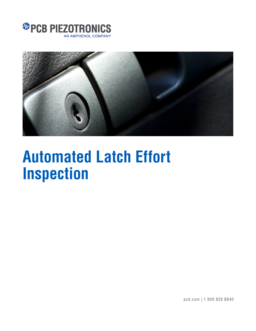



# **Automated Latch Effort Inspection**

pcb.com | 1 800 828 8840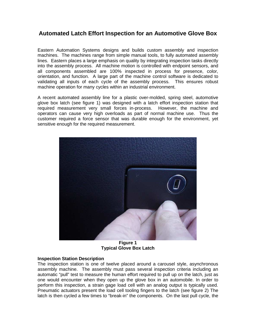## **Automated Latch Effort Inspection for an Automotive Glove Box**

Eastern Automation Systems designs and builds custom assembly and inspection machines. The machines range from simple manual tools, to fully automated assembly lines. Eastern places a large emphasis on quality by integrating inspection tasks directly into the assembly process. All machine motion is controlled with endpoint sensors, and all components assembled are 100% inspected in process for presence, color, orientation, and function. A large part of the machine control software is dedicated to validating all inputs of each cycle of the assembly process. This ensures robust machine operation for many cycles within an industrial environment.

A recent automated assembly line for a plastic over-molded, spring steel, automotive glove box latch (see figure 1) was designed with a latch effort inspection station that required measurement very small forces in-process. However, the machine and operators can cause very high overloads as part of normal machine use. Thus the customer required a force sensor that was durable enough for the environment, yet sensitive enough for the required measurement.



**Figure 1 Typical Glove Box Latch** 

### **Inspection Station Description**

The inspection station is one of twelve placed around a carousel style, asynchronous assembly machine. The assembly must pass several inspection criteria including an automatic "pull" test to measure the human effort required to pull up on the latch, just as one would encounter when they open up the glove box in an automobile. In order to perform this inspection, a strain gage load cell with an analog output is typically used. Pneumatic actuators present the load cell tooling fingers to the latch (see figure 2) The latch is then cycled a few times to "break-in" the components. On the last pull cycle, the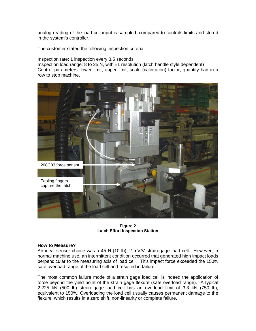analog reading of the load cell input is sampled, compared to controls limits and stored in the system's controller.

The customer stated the following inspection criteria.

Inspection rate: 1 inspection every 3.5 seconds

Inspection load range: 8 to 25 N, with  $\pm 1$  resolution (latch handle style dependent) Control parameters: lower limit, upper limit, scale (calibration) factor, quantity bad in a row to stop machine.



**Figure 2 Latch Effort Inspection Station** 

#### **How to Measure?**

An ideal sensor choice was a 45 N (10 lb), 2 mV/V strain gage load cell. However, in normal machine use, an intermittent condition occurred that generated high impact loads perpendicular to the measuring axis of load cell. This impact force exceeded the 150% safe overload range of the load cell and resulted in failure.

The most common failure mode of a strain gage load cell is indeed the application of force beyond the yield point of the strain gage flexure (safe overload range). A typical 2.225 kN (500 lb) strain gage load cell has an overload limit of 3.3 kN (750 lb), equivalent to 150%. Overloading the load cell usually causes permanent damage to the flexure, which results in a zero shift, non-linearity or complete failure.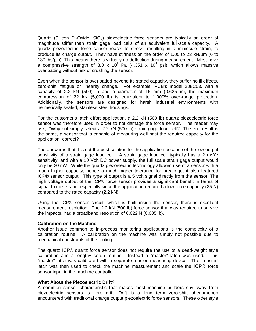Quartz (Silicon Di-Oxide,  $SiO<sub>2</sub>$ ) piezoelectric force sensors are typically an order of magnitude stiffer than strain gage load cells of an equivalent full-scale capacity. A quartz piezoelectric force sensor reacts to stress, resulting in a miniscule strain, to produce its charge output. They have stiffness on the order of 1.05 to 23 kN/µm (6 to 130 lbs/µin). This means there is virtually no deflection during measurement. Most have a compressive strength of 3.0 x 10<sup>8</sup> Pa (4.351 x 10<sup>4</sup> psi), which allows massive overloading without risk of crushing the sensor.

Even when the sensor is overloaded beyond its stated capacity, they suffer no ill effects, zero-shift, fatigue or linearity change. For example, PCB's model 208C03, with a capacity of 2.2 kN (500) lb and a diameter of 16 mm (0.625 in), the maximum compression of 22 kN (5,000 lb) is equivalent to 1,000% over-range protection. Additionally, the sensors are designed for harsh industrial environments with hermetically sealed, stainless steel housings.

For the customer's latch effort application, a 2.2 kN (500 lb) quartz piezoelectric force sensor was therefore used in order to not damage the force sensor. The reader may ask, "Why not simply select a 2.2 kN (500 lb) strain gage load cell? The end result is the same, a sensor that is capable of measuring well past the required capacity for the application, correct?"

The answer is that it is not the best solution for the application because of the low output sensitivity of a strain gage load cell. A strain gage load cell typically has a 2 mV/V sensitivity, and with a 10 Volt DC power supply, the full scale strain gage output would only be 20 mV. While the quartz piezoelectric technology allowed use of a sensor with a much higher capacity, hence a much higher tolerance for breakage, it also featured ICP® sensor output. This type of output is a 5 volt signal directly from the sensor. The high voltage output of the ICP® force sensor provides a significant benefit in terms of signal to noise ratio, especially since the application required a low force capacity (25 N) compared to the rated capacity (2.2 kN).

Using the ICP® sensor circuit, which is built inside the sensor, there is excellent measurement resolution. The 2.2 kN (500 lb) force sensor that was required to survive the impacts, had a broadband resolution of 0.022 N (0.005 lb).

### **Calibration on the Machine**

Another issue common to in-process monitoring applications is the complexity of a calibration routine. A calibration on the machine was simply not possible due to mechanical constraints of the tooling.

The quartz ICP® quartz force sensor does not require the use of a dead-weight style calibration and a lengthy setup routine. Instead a "master" latch was used. This "master" latch was calibrated with a separate tension-measuring device. The "master" latch was then used to check the machine measurement and scale the ICP® force sensor input in the machine controller.

### **What About the Piezoelectric Drift?**

A common sensor characteristic that makes most machine builders shy away from piezoelectric sensors is zero drift. Drift is a long term zero-shift phenomenon encountered with traditional charge output piezoelectric force sensors. These older style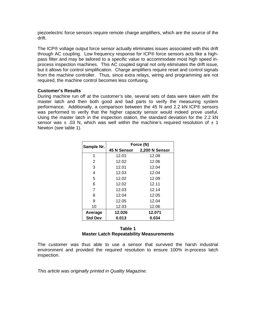piezoelectric force sensors require remote charge amplifiers, which are the source of the drift.

The ICP® voltage output force sensor actually eliminates issues associated with this drift through AC coupling. Low frequency response for ICP® force sensors acts like a highpass filter and may be tailored to a specific value to accommodate most high speed inprocess inspection machines. This AC coupled signal not only eliminates the drift issue, but it allows for control simplification. Charge amplifiers require reset and control signals from the machine controller. Thus, since extra relays, wiring and programming are not required, the machine control becomes less confusing.

### **Customer's Results**

During machine run off at the customer's site, several sets of data were taken with the master latch and then both good and bad parts to verify the measuring system performance. Additionally, a comparison between the 45 N and 2.2 kN ICP® sensors was performed to verify that the higher capacity sensor would indeed prove useful. Using the master latch in the inspection station, the standard deviation for the 2.2 kN sensor was  $\pm$  .03 N, which was well within the machine's required resolution of  $\pm$  1 Newton (see table 1).

| Sample Nr.     | Force (N)   |                |
|----------------|-------------|----------------|
|                | 45 N Sensor | 2,200 N Sensor |
| 1              | 12.01       | 12.08          |
| 2              | 12.02       | 12.06          |
| 3              | 12.01       | 12.04          |
| 4              | 12.03       | 12.04          |
| 5              | 12.02       | 12.09          |
| 6              | 12.02       | 12.11          |
| 7              | 12.03       | 12.14          |
| 8              | 12.04       | 12.05          |
| 9              | 12.05       | 12.04          |
| 10             | 12.03       | 12.06          |
| Average        | 12.026      | 12.071         |
| <b>Std Dev</b> | 0.013       | 0.034          |

### **Table 1 Master Latch Repeatability Measurements**

The customer was thus able to use a sensor that survived the harsh industrial environment and provided the required resolution to ensure 100% in-process latch inspection.

This article was originally printed in Quality Magazine.